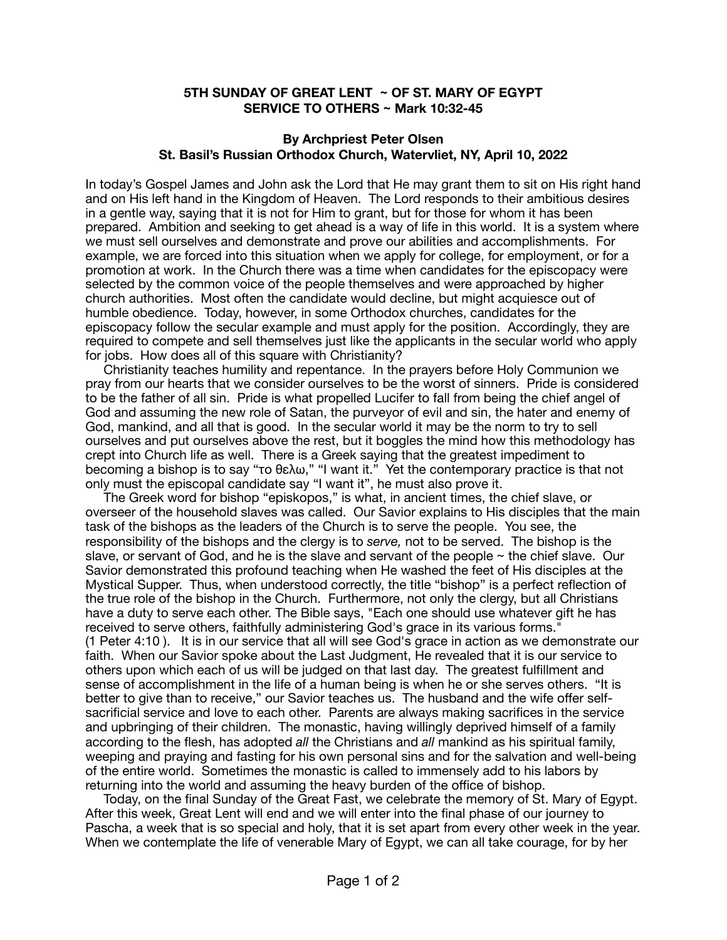## **5TH SUNDAY OF GREAT LENT ~ OF ST. MARY OF EGYPT SERVICE TO OTHERS ~ Mark 10:32-45**

## **By Archpriest Peter Olsen St. Basil's Russian Orthodox Church, Watervliet, NY, April 10, 2022**

In today's Gospel James and John ask the Lord that He may grant them to sit on His right hand and on His left hand in the Kingdom of Heaven. The Lord responds to their ambitious desires in a gentle way, saying that it is not for Him to grant, but for those for whom it has been prepared. Ambition and seeking to get ahead is a way of life in this world. It is a system where we must sell ourselves and demonstrate and prove our abilities and accomplishments. For example, we are forced into this situation when we apply for college, for employment, or for a promotion at work. In the Church there was a time when candidates for the episcopacy were selected by the common voice of the people themselves and were approached by higher church authorities. Most often the candidate would decline, but might acquiesce out of humble obedience. Today, however, in some Orthodox churches, candidates for the episcopacy follow the secular example and must apply for the position. Accordingly, they are required to compete and sell themselves just like the applicants in the secular world who apply for jobs. How does all of this square with Christianity?

 Christianity teaches humility and repentance. In the prayers before Holy Communion we pray from our hearts that we consider ourselves to be the worst of sinners. Pride is considered to be the father of all sin. Pride is what propelled Lucifer to fall from being the chief angel of God and assuming the new role of Satan, the purveyor of evil and sin, the hater and enemy of God, mankind, and all that is good. In the secular world it may be the norm to try to sell ourselves and put ourselves above the rest, but it boggles the mind how this methodology has crept into Church life as well. There is a Greek saying that the greatest impediment to becoming a bishop is to say "το θελω," "I want it." Yet the contemporary practice is that not only must the episcopal candidate say "I want it", he must also prove it.

 The Greek word for bishop "episkopos," is what, in ancient times, the chief slave, or overseer of the household slaves was called. Our Savior explains to His disciples that the main task of the bishops as the leaders of the Church is to serve the people. You see, the responsibility of the bishops and the clergy is to *serve,* not to be served. The bishop is the slave, or servant of God, and he is the slave and servant of the people  $\sim$  the chief slave. Our Savior demonstrated this profound teaching when He washed the feet of His disciples at the Mystical Supper. Thus, when understood correctly, the title "bishop" is a perfect reflection of the true role of the bishop in the Church. Furthermore, not only the clergy, but all Christians have a duty to serve each other. The Bible says, "Each one should use whatever gift he has received to serve others, faithfully administering God's grace in its various forms." (1 Peter 4:10 ). It is in our service that all will see God's grace in action as we demonstrate our faith. When our Savior spoke about the Last Judgment, He revealed that it is our service to others upon which each of us will be judged on that last day. The greatest fulfillment and sense of accomplishment in the life of a human being is when he or she serves others. "It is better to give than to receive," our Savior teaches us. The husband and the wife offer selfsacrificial service and love to each other. Parents are always making sacrifices in the service and upbringing of their children. The monastic, having willingly deprived himself of a family according to the flesh, has adopted *all* the Christians and *all* mankind as his spiritual family, weeping and praying and fasting for his own personal sins and for the salvation and well-being of the entire world. Sometimes the monastic is called to immensely add to his labors by returning into the world and assuming the heavy burden of the office of bishop.

 Today, on the final Sunday of the Great Fast, we celebrate the memory of St. Mary of Egypt. After this week, Great Lent will end and we will enter into the final phase of our journey to Pascha, a week that is so special and holy, that it is set apart from every other week in the year. When we contemplate the life of venerable Mary of Egypt, we can all take courage, for by her